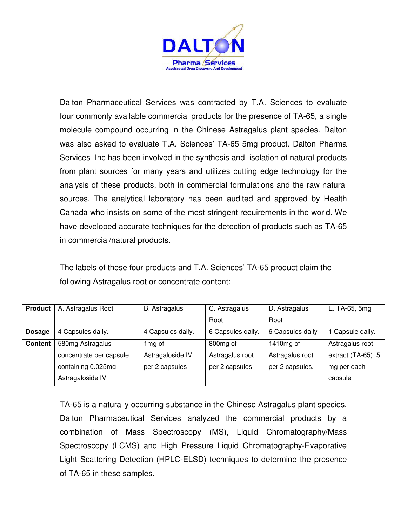

Dalton Pharmaceutical Services was contracted by T.A. Sciences to evaluate four commonly available commercial products for the presence of TA-65, a single molecule compound occurring in the Chinese Astragalus plant species. Dalton was also asked to evaluate T.A. Sciences' TA-65 5mg product. Dalton Pharma Services Inc has been involved in the synthesis and isolation of natural products from plant sources for many years and utilizes cutting edge technology for the analysis of these products, both in commercial formulations and the raw natural sources. The analytical laboratory has been audited and approved by Health Canada who insists on some of the most stringent requirements in the world. We have developed accurate techniques for the detection of products such as TA-65 in commercial/natural products.

The labels of these four products and T.A. Sciences' TA-65 product claim the following Astragalus root or concentrate content:

| <b>Product</b> | A. Astragalus Root      | <b>B.</b> Astragalus | C. Astragalus        | D. Astragalus    | E. TA-65, 5mg         |
|----------------|-------------------------|----------------------|----------------------|------------------|-----------------------|
|                |                         |                      | Root                 | Root             |                       |
| <b>Dosage</b>  | 4 Capsules daily.       | 4 Capsules daily.    | 6 Capsules daily.    | 6 Capsules daily | Capsule daily.        |
| <b>Content</b> | 580mg Astragalus        | 1mg of               | 800 <sub>mg</sub> of | 1410 $mg$ of     | Astragalus root       |
|                | concentrate per capsule | Astragaloside IV     | Astragalus root      | Astragalus root  | extract $(TA-65)$ , 5 |
|                | containing 0.025mg      | per 2 capsules       | per 2 capsules       | per 2 capsules.  | mg per each           |
|                | Astragaloside IV        |                      |                      |                  | capsule               |

TA-65 is a naturally occurring substance in the Chinese Astragalus plant species. Dalton Pharmaceutical Services analyzed the commercial products by a combination of Mass Spectroscopy (MS), Liquid Chromatography/Mass Spectroscopy (LCMS) and High Pressure Liquid Chromatography-Evaporative Light Scattering Detection (HPLC-ELSD) techniques to determine the presence of TA-65 in these samples.